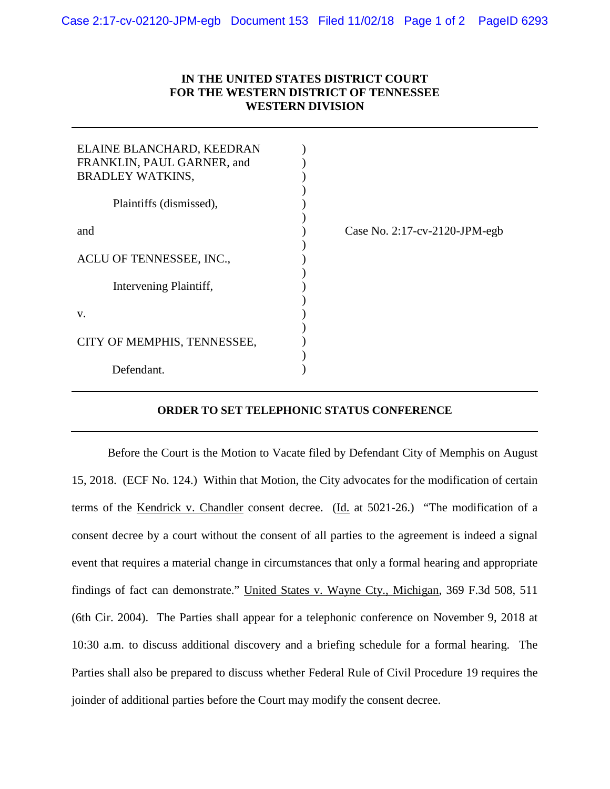## **IN THE UNITED STATES DISTRICT COURT FOR THE WESTERN DISTRICT OF TENNESSEE WESTERN DIVISION**

| ELAINE BLANCHARD, KEEDRAN<br>FRANKLIN, PAUL GARNER, and<br><b>BRADLEY WATKINS,</b> |                                      |
|------------------------------------------------------------------------------------|--------------------------------------|
| Plaintiffs (dismissed),                                                            |                                      |
| and                                                                                | Case No. $2:17$ -cv- $2120$ -JPM-egb |
| ACLU OF TENNESSEE, INC.,                                                           |                                      |
| Intervening Plaintiff,                                                             |                                      |
| V.                                                                                 |                                      |
| CITY OF MEMPHIS, TENNESSEE,                                                        |                                      |
| Defendant.                                                                         |                                      |

## **ORDER TO SET TELEPHONIC STATUS CONFERENCE**

Before the Court is the Motion to Vacate filed by Defendant City of Memphis on August 15, 2018. (ECF No. 124.) Within that Motion, the City advocates for the modification of certain terms of the Kendrick v. Chandler consent decree. (Id. at 5021-26.) "The modification of a consent decree by a court without the consent of all parties to the agreement is indeed a signal event that requires a material change in circumstances that only a formal hearing and appropriate findings of fact can demonstrate." United States v. Wayne Cty., Michigan, 369 F.3d 508, 511 (6th Cir. 2004). The Parties shall appear for a telephonic conference on November 9, 2018 at 10:30 a.m. to discuss additional discovery and a briefing schedule for a formal hearing. The Parties shall also be prepared to discuss whether Federal Rule of Civil Procedure 19 requires the joinder of additional parties before the Court may modify the consent decree.